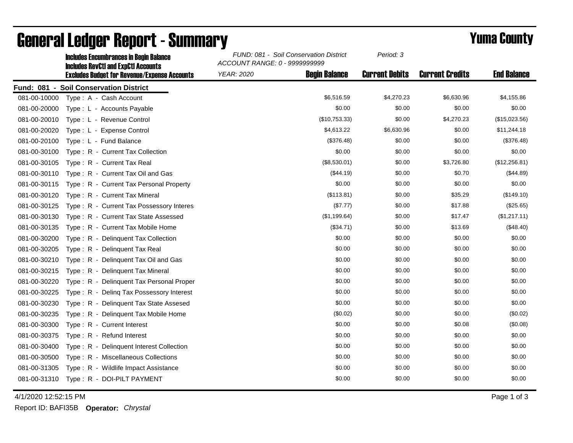|              | <b>Includes Encumbrances in Begin Balance</b><br><b>Includes RevCtI and ExpCtI Accounts</b> | FUND: 081 - Soil Conservation District<br>ACCOUNT RANGE: 0 - 9999999999 |                      | Period: 3             |                        |                    |
|--------------|---------------------------------------------------------------------------------------------|-------------------------------------------------------------------------|----------------------|-----------------------|------------------------|--------------------|
|              | <b>Excludes Budget for Revenue/Expense Accounts</b>                                         | <b>YEAR: 2020</b>                                                       | <b>Begin Balance</b> | <b>Current Debits</b> | <b>Current Credits</b> | <b>End Balance</b> |
|              | Fund: 081 - Soil Conservation District                                                      |                                                                         |                      |                       |                        |                    |
| 081-00-10000 | Type: A - Cash Account                                                                      |                                                                         | \$6,516.59           | \$4,270.23            | \$6,630.96             | \$4,155.86         |
| 081-00-20000 | Type: L - Accounts Payable                                                                  |                                                                         | \$0.00               | \$0.00                | \$0.00                 | \$0.00             |
| 081-00-20010 | Type: L - Revenue Control                                                                   |                                                                         | (\$10,753.33)        | \$0.00                | \$4,270.23             | (\$15,023.56)      |
| 081-00-20020 | Type: L - Expense Control                                                                   |                                                                         | \$4,613.22           | \$6,630.96            | \$0.00                 | \$11,244.18        |
| 081-00-20100 | Type: L - Fund Balance                                                                      |                                                                         | (\$376.48)           | \$0.00                | \$0.00                 | (\$376.48)         |
| 081-00-30100 | Type: R - Current Tax Collection                                                            |                                                                         | \$0.00               | \$0.00                | \$0.00                 | \$0.00             |
| 081-00-30105 | Type: R - Current Tax Real                                                                  |                                                                         | (\$8,530.01)         | \$0.00                | \$3,726.80             | (\$12,256.81)      |
| 081-00-30110 | Type: R - Current Tax Oil and Gas                                                           |                                                                         | (\$44.19)            | \$0.00                | \$0.70                 | (\$44.89)          |
| 081-00-30115 | Type: R - Current Tax Personal Property                                                     |                                                                         | \$0.00               | \$0.00                | \$0.00                 | \$0.00             |
| 081-00-30120 | Type: R - Current Tax Mineral                                                               |                                                                         | (\$113.81)           | \$0.00                | \$35.29                | (\$149.10)         |
| 081-00-30125 | Type: R - Current Tax Possessory Interes                                                    |                                                                         | (\$7.77)             | \$0.00                | \$17.88                | (\$25.65)          |
| 081-00-30130 | Type: R - Current Tax State Assessed                                                        |                                                                         | (\$1,199.64)         | \$0.00                | \$17.47                | (\$1,217.11)       |
| 081-00-30135 | Type: R - Current Tax Mobile Home                                                           |                                                                         | (\$34.71)            | \$0.00                | \$13.69                | (\$48.40)          |
| 081-00-30200 | Type: R - Delinquent Tax Collection                                                         |                                                                         | \$0.00               | \$0.00                | \$0.00                 | \$0.00             |
| 081-00-30205 | Type: R - Delinquent Tax Real                                                               |                                                                         | \$0.00               | \$0.00                | \$0.00                 | \$0.00             |
| 081-00-30210 | Type: R - Delinquent Tax Oil and Gas                                                        |                                                                         | \$0.00               | \$0.00                | \$0.00                 | \$0.00             |
| 081-00-30215 | Type: R - Delinquent Tax Mineral                                                            |                                                                         | \$0.00               | \$0.00                | \$0.00                 | \$0.00             |
| 081-00-30220 | Type: R - Delinquent Tax Personal Proper                                                    |                                                                         | \$0.00               | \$0.00                | \$0.00                 | \$0.00             |
| 081-00-30225 | Type: R - Deling Tax Possessory Interest                                                    |                                                                         | \$0.00               | \$0.00                | \$0.00                 | \$0.00             |
| 081-00-30230 | Type: R - Delinquent Tax State Assesed                                                      |                                                                         | \$0.00               | \$0.00                | \$0.00                 | \$0.00             |
| 081-00-30235 | Type: R - Delinquent Tax Mobile Home                                                        |                                                                         | (\$0.02)             | \$0.00                | \$0.00                 | (\$0.02)           |
| 081-00-30300 | Type: R - Current Interest                                                                  |                                                                         | \$0.00               | \$0.00                | \$0.08                 | (\$0.08)           |
| 081-00-30375 | Type: R - Refund Interest                                                                   |                                                                         | \$0.00               | \$0.00                | \$0.00                 | \$0.00             |
| 081-00-30400 | Type: R - Delinquent Interest Collection                                                    |                                                                         | \$0.00               | \$0.00                | \$0.00                 | \$0.00             |
| 081-00-30500 | Type: R - Miscellaneous Collections                                                         |                                                                         | \$0.00               | \$0.00                | \$0.00                 | \$0.00             |
| 081-00-31305 | Type: R - Wildlife Impact Assistance                                                        |                                                                         | \$0.00               | \$0.00                | \$0.00                 | \$0.00             |
|              | 081-00-31310 Type: R - DOI-PILT PAYMENT                                                     |                                                                         | \$0.00               | \$0.00                | \$0.00                 | \$0.00             |

## General Ledger Report - Summary **Example 2018** Yuma County

4/1/2020 12:52:15 PM Page 1 of 3

Report ID: BAFI35B **Operator:** *Chrystal*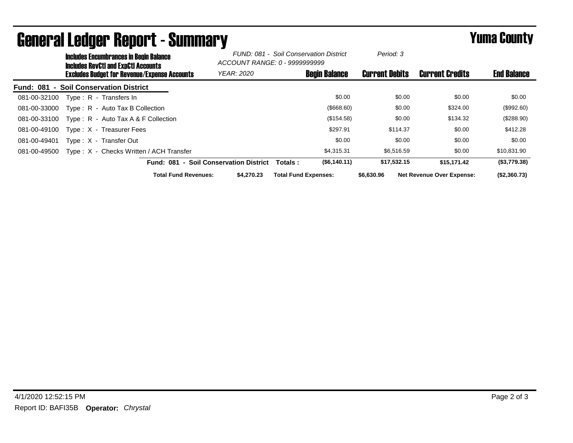|                  | <b>Includes Encumbrances in Begin Balance</b><br><b>Includes RevCtI and ExpCtI Accounts</b> |                                         |                                        | FUND: 081 - Soil Conservation District<br>ACCOUNT RANGE: 0 - 9999999999 |                             | Period: 3            |                       |                                  |                    |
|------------------|---------------------------------------------------------------------------------------------|-----------------------------------------|----------------------------------------|-------------------------------------------------------------------------|-----------------------------|----------------------|-----------------------|----------------------------------|--------------------|
|                  | <b>Excludes Budget for Revenue/Expense Accounts</b>                                         |                                         |                                        | <b>YEAR: 2020</b>                                                       |                             | <b>Begin Balance</b> | <b>Current Debits</b> | <b>Current Credits</b>           | <b>End Balance</b> |
| <b>Fund: 081</b> |                                                                                             | - Soil Conservation District            |                                        |                                                                         |                             |                      |                       |                                  |                    |
| 081-00-32100     |                                                                                             | Type: R - Transfers In                  |                                        |                                                                         |                             | \$0.00               | \$0.00                | \$0.00                           | \$0.00             |
| 081-00-33000     |                                                                                             | Type: R - Auto Tax B Collection         |                                        |                                                                         |                             | $($ \$668.60)        | \$0.00                | \$324.00                         | (\$992.60)         |
| 081-00-33100     |                                                                                             | Type: $R -$ Auto Tax A & F Collection   |                                        |                                                                         |                             | (\$154.58)           | \$0.00                | \$134.32                         | $(\$288.90)$       |
| 081-00-49100     |                                                                                             | Type: X - Treasurer Fees                |                                        |                                                                         |                             | \$297.91             | \$114.37              | \$0.00                           | \$412.28           |
| 081-00-49401     |                                                                                             | Type: X - Transfer Out                  |                                        |                                                                         |                             | \$0.00               | \$0.00                | \$0.00                           | \$0.00             |
| 081-00-49500     |                                                                                             | Type: X - Checks Written / ACH Transfer |                                        |                                                                         |                             | \$4.315.31           | \$6,516.59            | \$0.00                           | \$10,831.90        |
|                  |                                                                                             |                                         | Fund: 081 - Soil Conservation District |                                                                         | <b>Totals:</b>              | (S6, 140.11)         | \$17,532.15           | \$15.171.42                      | (\$3,779.38)       |
|                  |                                                                                             |                                         | <b>Total Fund Revenues:</b>            | \$4.270.23                                                              | <b>Total Fund Expenses:</b> |                      | \$6,630.96            | <b>Net Revenue Over Expense:</b> | (\$2,360.73)       |

## General Ledger Report - Summary **Example 2018** Yuma County